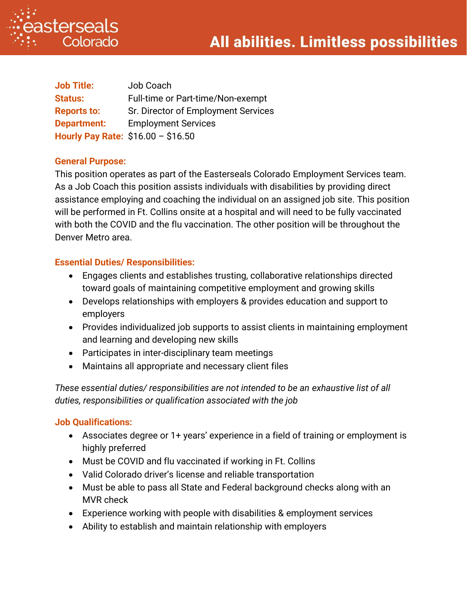

| <b>Job Title:</b>                  | Job Coach                           |
|------------------------------------|-------------------------------------|
| <b>Status:</b>                     | Full-time or Part-time/Non-exempt   |
| <b>Reports to:</b>                 | Sr. Director of Employment Services |
| <b>Department:</b>                 | <b>Employment Services</b>          |
| Hourly Pay Rate: \$16.00 - \$16.50 |                                     |

#### **General Purpose:**

This position operates as part of the Easterseals Colorado Employment Services team. As a Job Coach this position assists individuals with disabilities by providing direct assistance employing and coaching the individual on an assigned job site. This position will be performed in Ft. Collins onsite at a hospital and will need to be fully vaccinated with both the COVID and the flu vaccination. The other position will be throughout the Denver Metro area.

## **Essential Duties/ Responsibilities:**

- Engages clients and establishes trusting, collaborative relationships directed toward goals of maintaining competitive employment and growing skills
- Develops relationships with employers & provides education and support to employers
- Provides individualized job supports to assist clients in maintaining employment and learning and developing new skills
- Participates in inter-disciplinary team meetings
- Maintains all appropriate and necessary client files

*These essential duties/ responsibilities are not intended to be an exhaustive list of all duties, responsibilities or qualification associated with the job*

#### **Job Qualifications:**

- Associates degree or 1+ years' experience in a field of training or employment is highly preferred
- Must be COVID and flu vaccinated if working in Ft. Collins
- Valid Colorado driver's license and reliable transportation
- Must be able to pass all State and Federal background checks along with an MVR check
- Experience working with people with disabilities & employment services
- Ability to establish and maintain relationship with employers